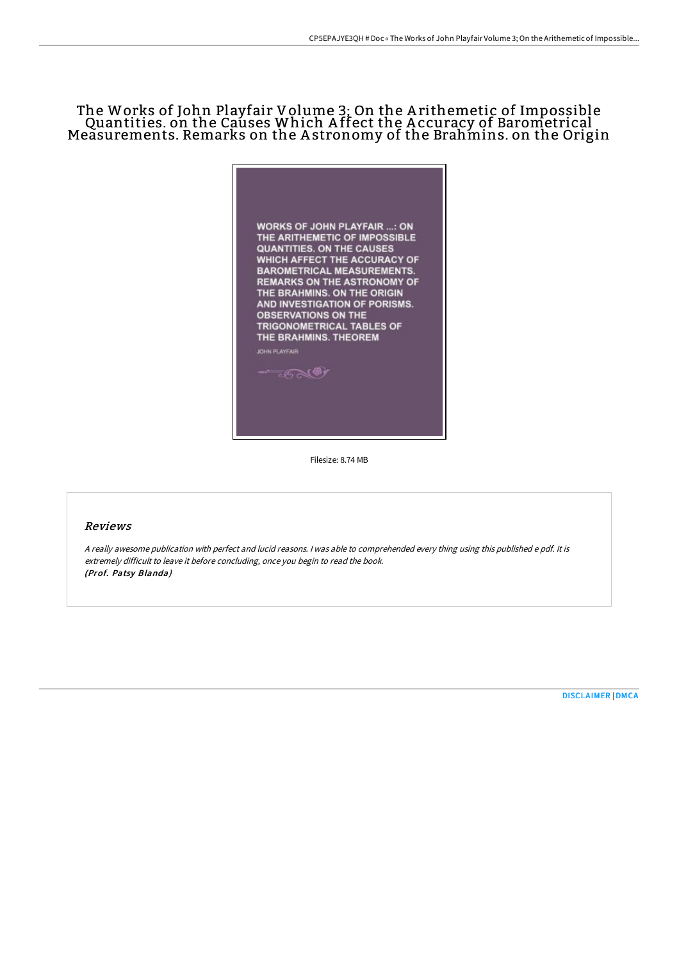# The Works of John Playfair Volume 3; On the A rithemetic of Impossible Quantities. on the Causes Which A ffect the A ccuracy of Barometrical Measurements. Remarks on the A stronomy of the Brahmins. on the Origin



Filesize: 8.74 MB

## Reviews

<sup>A</sup> really awesome publication with perfect and lucid reasons. <sup>I</sup> was able to comprehended every thing using this published <sup>e</sup> pdf. It is extremely difficult to leave it before concluding, once you begin to read the book. (Prof. Patsy Blanda)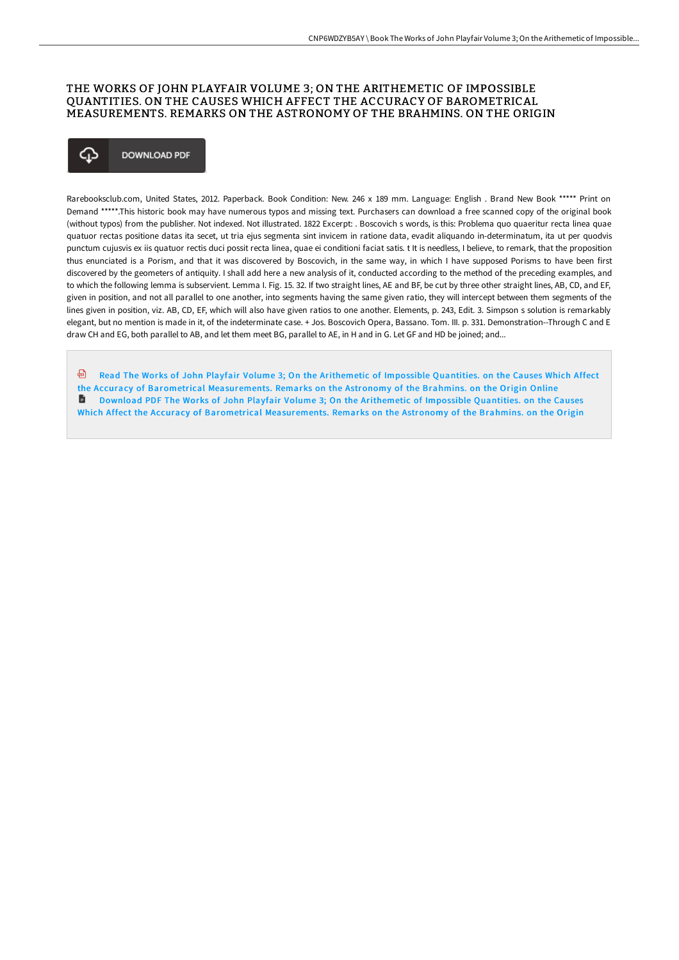# THE WORKS OF JOHN PLAYFAIR VOLUME 3; ON THE ARITHEMETIC OF IMPOSSIBLE QUANTITIES. ON THE CAUSES WHICH AFFECT THE ACCURACY OF BAROMETRICAL MEASUREMENTS. REMARKS ON THE ASTRONOMY OF THE BRAHMINS. ON THE ORIGIN

## ⊕ **DOWNLOAD PDF**

Rarebooksclub.com, United States, 2012. Paperback. Book Condition: New. 246 x 189 mm. Language: English . Brand New Book \*\*\*\*\* Print on Demand \*\*\*\*\*.This historic book may have numerous typos and missing text. Purchasers can download a free scanned copy of the original book (without typos) from the publisher. Not indexed. Not illustrated. 1822 Excerpt: . Boscovich s words, is this: Problema quo quaeritur recta linea quae quatuor rectas positione datas ita secet, ut tria ejus segmenta sint invicem in ratione data, evadit aliquando in-determinatum, ita ut per quodvis punctum cujusvis ex iis quatuor rectis duci possit recta linea, quae ei conditioni faciat satis. t It is needless, I believe, to remark, that the proposition thus enunciated is a Porism, and that it was discovered by Boscovich, in the same way, in which I have supposed Porisms to have been first discovered by the geometers of antiquity. I shall add here a new analysis of it, conducted according to the method of the preceding examples, and to which the following lemma is subservient. Lemma I. Fig. 15. 32. If two straight lines, AE and BF, be cut by three other straight lines, AB, CD, and EF, given in position, and not all parallel to one another, into segments having the same given ratio, they will intercept between them segments of the lines given in position, viz. AB, CD, EF, which will also have given ratios to one another. Elements, p. 243, Edit. 3. Simpson s solution is remarkably elegant, but no mention is made in it, of the indeterminate case. + Jos. Boscovich Opera, Bassano. Tom. III. p. 331. Demonstration--Through C and E draw CH and EG, both parallel to AB, and let them meet BG, parallel to AE, in H and in G. Let GF and HD be joined; and...

Read The Works of John Playfair Volume 3; On the Arithemetic of Impossible Quantities. on the Causes Which Affect the Accuracy of Barometrical [Measurements.](http://albedo.media/the-works-of-john-playfair-volume-3-on-the-arith.html) Remarks on the Astronomy of the Brahmins. on the Origin Online Download PDF The Works of John Playfair Volume 3; On the Arithemetic of Impossible Quantities. on the Causes Which Affect the Accuracy of Barometrical [Measurements.](http://albedo.media/the-works-of-john-playfair-volume-3-on-the-arith.html) Remarks on the Astronomy of the Brahmins. on the Origin